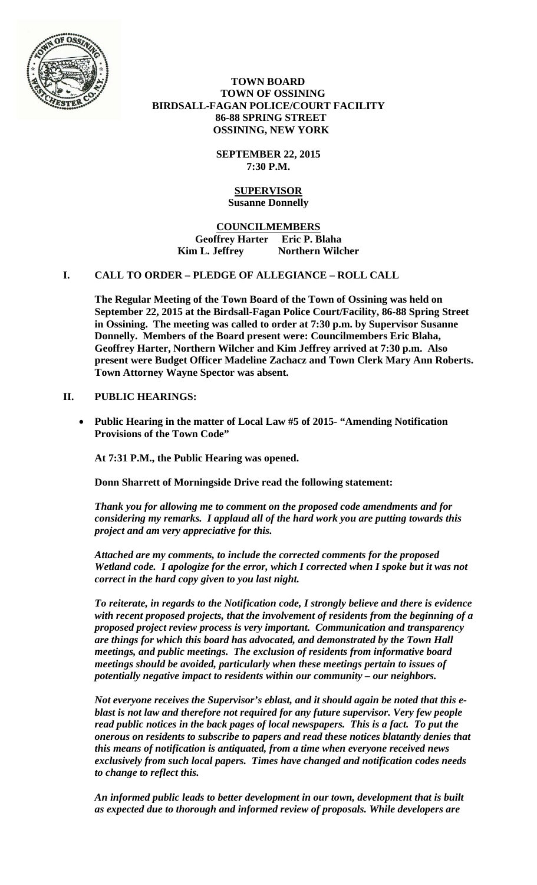

 **TOWN BOARD TOWN OF OSSINING BIRDSALL-FAGAN POLICE/COURT FACILITY 86-88 SPRING STREET OSSINING, NEW YORK** 

> **SEPTEMBER 22, 2015 7:30 P.M.**

## **SUPERVISOR Susanne Donnelly**

**COUNCILMEMBERS Geoffrey Harter Eric P. Blaha**  Kim L. Jeffrey **Northern Wilcher** 

## **I. CALL TO ORDER – PLEDGE OF ALLEGIANCE – ROLL CALL**

**The Regular Meeting of the Town Board of the Town of Ossining was held on September 22, 2015 at the Birdsall-Fagan Police Court/Facility, 86-88 Spring Street in Ossining. The meeting was called to order at 7:30 p.m. by Supervisor Susanne Donnelly. Members of the Board present were: Councilmembers Eric Blaha, Geoffrey Harter, Northern Wilcher and Kim Jeffrey arrived at 7:30 p.m. Also present were Budget Officer Madeline Zachacz and Town Clerk Mary Ann Roberts. Town Attorney Wayne Spector was absent.** 

# **II. PUBLIC HEARINGS:**

 **Public Hearing in the matter of Local Law #5 of 2015- "Amending Notification Provisions of the Town Code"** 

**At 7:31 P.M., the Public Hearing was opened.** 

**Donn Sharrett of Morningside Drive read the following statement:** 

*Thank you for allowing me to comment on the proposed code amendments and for considering my remarks. I applaud all of the hard work you are putting towards this project and am very appreciative for this.* 

*Attached are my comments, to include the corrected comments for the proposed Wetland code. I apologize for the error, which I corrected when I spoke but it was not correct in the hard copy given to you last night.* 

*To reiterate, in regards to the Notification code, I strongly believe and there is evidence with recent proposed projects, that the involvement of residents from the beginning of a proposed project review process is very important. Communication and transparency are things for which this board has advocated, and demonstrated by the Town Hall meetings, and public meetings. The exclusion of residents from informative board meetings should be avoided, particularly when these meetings pertain to issues of potentially negative impact to residents within our community – our neighbors.* 

*Not everyone receives the Supervisor's eblast, and it should again be noted that this eblast is not law and therefore not required for any future supervisor. Very few people read public notices in the back pages of local newspapers. This is a fact. To put the onerous on residents to subscribe to papers and read these notices blatantly denies that this means of notification is antiquated, from a time when everyone received news exclusively from such local papers. Times have changed and notification codes needs to change to reflect this.* 

*An informed public leads to better development in our town, development that is built as expected due to thorough and informed review of proposals. While developers are*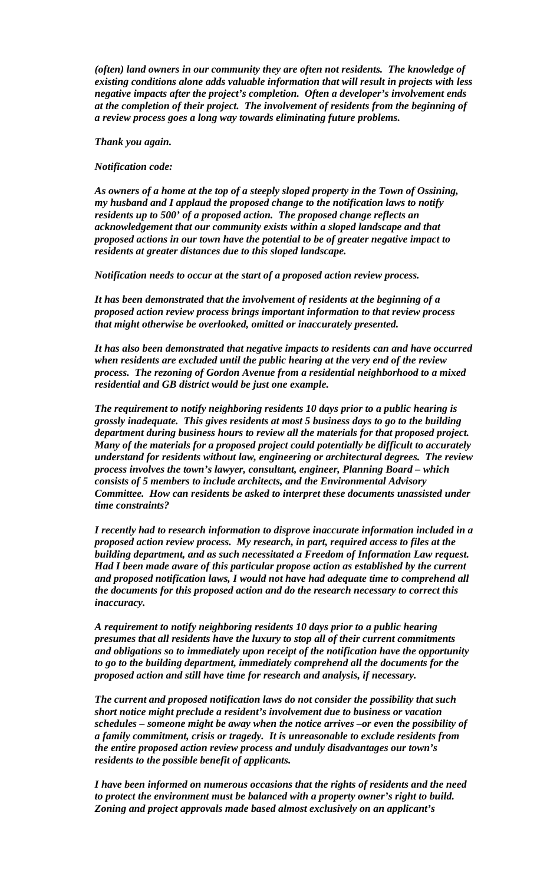*(often) land owners in our community they are often not residents. The knowledge of existing conditions alone adds valuable information that will result in projects with less negative impacts after the project's completion. Often a developer's involvement ends at the completion of their project. The involvement of residents from the beginning of a review process goes a long way towards eliminating future problems.* 

*Thank you again.* 

*Notification code:* 

*As owners of a home at the top of a steeply sloped property in the Town of Ossining, my husband and I applaud the proposed change to the notification laws to notify residents up to 500' of a proposed action. The proposed change reflects an acknowledgement that our community exists within a sloped landscape and that proposed actions in our town have the potential to be of greater negative impact to residents at greater distances due to this sloped landscape.* 

*Notification needs to occur at the start of a proposed action review process.* 

*It has been demonstrated that the involvement of residents at the beginning of a proposed action review process brings important information to that review process that might otherwise be overlooked, omitted or inaccurately presented.* 

*It has also been demonstrated that negative impacts to residents can and have occurred when residents are excluded until the public hearing at the very end of the review process. The rezoning of Gordon Avenue from a residential neighborhood to a mixed residential and GB district would be just one example.* 

*The requirement to notify neighboring residents 10 days prior to a public hearing is grossly inadequate. This gives residents at most 5 business days to go to the building department during business hours to review all the materials for that proposed project. Many of the materials for a proposed project could potentially be difficult to accurately understand for residents without law, engineering or architectural degrees. The review process involves the town's lawyer, consultant, engineer, Planning Board – which consists of 5 members to include architects, and the Environmental Advisory Committee. How can residents be asked to interpret these documents unassisted under time constraints?* 

*I recently had to research information to disprove inaccurate information included in a proposed action review process. My research, in part, required access to files at the building department, and as such necessitated a Freedom of Information Law request. Had I been made aware of this particular propose action as established by the current and proposed notification laws, I would not have had adequate time to comprehend all the documents for this proposed action and do the research necessary to correct this inaccuracy.* 

*A requirement to notify neighboring residents 10 days prior to a public hearing presumes that all residents have the luxury to stop all of their current commitments and obligations so to immediately upon receipt of the notification have the opportunity to go to the building department, immediately comprehend all the documents for the proposed action and still have time for research and analysis, if necessary.* 

*The current and proposed notification laws do not consider the possibility that such short notice might preclude a resident's involvement due to business or vacation schedules – someone might be away when the notice arrives –or even the possibility of a family commitment, crisis or tragedy. It is unreasonable to exclude residents from the entire proposed action review process and unduly disadvantages our town's residents to the possible benefit of applicants.* 

*I have been informed on numerous occasions that the rights of residents and the need to protect the environment must be balanced with a property owner's right to build. Zoning and project approvals made based almost exclusively on an applicant's*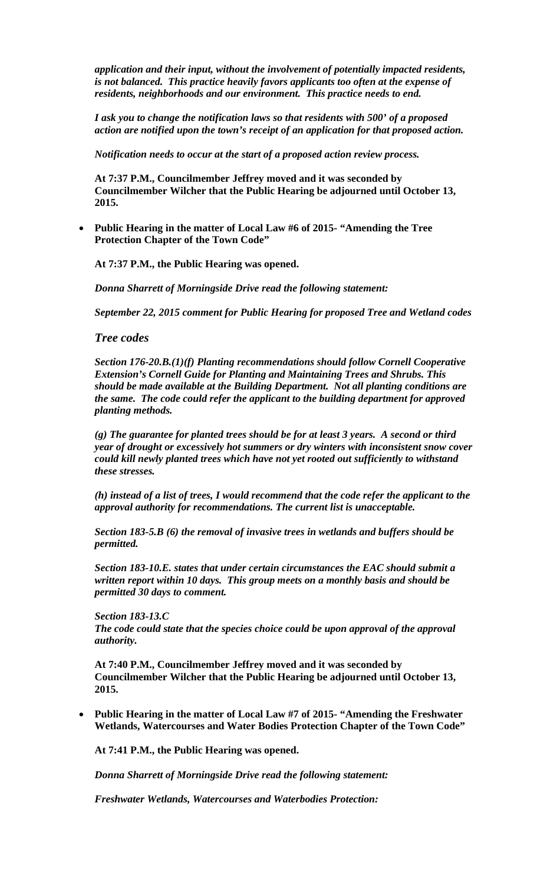*application and their input, without the involvement of potentially impacted residents, is not balanced. This practice heavily favors applicants too often at the expense of residents, neighborhoods and our environment. This practice needs to end.* 

*I ask you to change the notification laws so that residents with 500' of a proposed action are notified upon the town's receipt of an application for that proposed action.* 

*Notification needs to occur at the start of a proposed action review process.* 

**At 7:37 P.M., Councilmember Jeffrey moved and it was seconded by Councilmember Wilcher that the Public Hearing be adjourned until October 13, 2015.**

 **Public Hearing in the matter of Local Law #6 of 2015- "Amending the Tree Protection Chapter of the Town Code"** 

**At 7:37 P.M., the Public Hearing was opened.** 

*Donna Sharrett of Morningside Drive read the following statement:* 

*September 22, 2015 comment for Public Hearing for proposed Tree and Wetland codes*

*Tree codes* 

*Section 176-20.B.(1)(f) Planting recommendations should follow Cornell Cooperative Extension's Cornell Guide for Planting and Maintaining Trees and Shrubs. This should be made available at the Building Department. Not all planting conditions are the same. The code could refer the applicant to the building department for approved planting methods.* 

*(g) The guarantee for planted trees should be for at least 3 years. A second or third year of drought or excessively hot summers or dry winters with inconsistent snow cover could kill newly planted trees which have not yet rooted out sufficiently to withstand these stresses.* 

*(h) instead of a list of trees, I would recommend that the code refer the applicant to the approval authority for recommendations. The current list is unacceptable.* 

*Section 183-5.B (6) the removal of invasive trees in wetlands and buffers should be permitted.* 

*Section 183-10.E. states that under certain circumstances the EAC should submit a written report within 10 days. This group meets on a monthly basis and should be permitted 30 days to comment.* 

*Section 183-13.C The code could state that the species choice could be upon approval of the approval authority.* 

**At 7:40 P.M., Councilmember Jeffrey moved and it was seconded by Councilmember Wilcher that the Public Hearing be adjourned until October 13, 2015.**

 **Public Hearing in the matter of Local Law #7 of 2015- "Amending the Freshwater Wetlands, Watercourses and Water Bodies Protection Chapter of the Town Code"** 

**At 7:41 P.M., the Public Hearing was opened.** 

*Donna Sharrett of Morningside Drive read the following statement:* 

*Freshwater Wetlands, Watercourses and Waterbodies Protection:*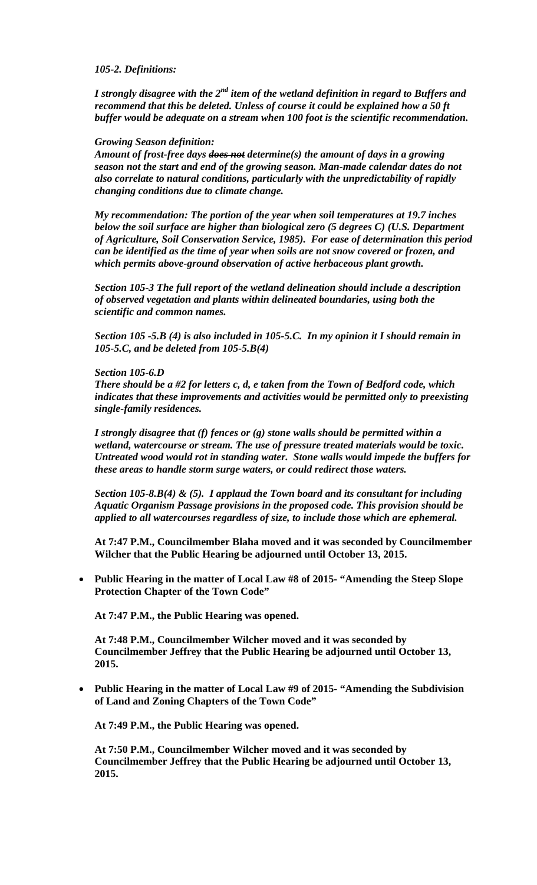#### *105-2. Definitions:*

*I strongly disagree with the 2<sup>nd</sup> item of the wetland definition in regard to Buffers and recommend that this be deleted. Unless of course it could be explained how a 50 ft buffer would be adequate on a stream when 100 foot is the scientific recommendation.* 

#### *Growing Season definition:*

*Amount of frost-free days does not determine(s) the amount of days in a growing season not the start and end of the growing season. Man-made calendar dates do not also correlate to natural conditions, particularly with the unpredictability of rapidly changing conditions due to climate change.* 

*My recommendation: The portion of the year when soil temperatures at 19.7 inches below the soil surface are higher than biological zero (5 degrees C) (U.S. Department of Agriculture, Soil Conservation Service, 1985). For ease of determination this period can be identified as the time of year when soils are not snow covered or frozen, and which permits above-ground observation of active herbaceous plant growth.* 

*Section 105-3 The full report of the wetland delineation should include a description of observed vegetation and plants within delineated boundaries, using both the scientific and common names.* 

*Section 105 -5.B (4) is also included in 105-5.C. In my opinion it I should remain in 105-5.C, and be deleted from 105-5.B(4)* 

#### *Section 105-6.D*

*There should be a #2 for letters c, d, e taken from the Town of Bedford code, which indicates that these improvements and activities would be permitted only to preexisting single-family residences.* 

*I strongly disagree that (f) fences or (g) stone walls should be permitted within a wetland, watercourse or stream. The use of pressure treated materials would be toxic. Untreated wood would rot in standing water. Stone walls would impede the buffers for these areas to handle storm surge waters, or could redirect those waters.* 

*Section 105-8.B(4) & (5). I applaud the Town board and its consultant for including Aquatic Organism Passage provisions in the proposed code. This provision should be applied to all watercourses regardless of size, to include those which are ephemeral.* 

**At 7:47 P.M., Councilmember Blaha moved and it was seconded by Councilmember Wilcher that the Public Hearing be adjourned until October 13, 2015.**

 **Public Hearing in the matter of Local Law #8 of 2015- "Amending the Steep Slope Protection Chapter of the Town Code"** 

**At 7:47 P.M., the Public Hearing was opened.** 

**At 7:48 P.M., Councilmember Wilcher moved and it was seconded by Councilmember Jeffrey that the Public Hearing be adjourned until October 13, 2015.**

 **Public Hearing in the matter of Local Law #9 of 2015- "Amending the Subdivision of Land and Zoning Chapters of the Town Code"**

**At 7:49 P.M., the Public Hearing was opened.** 

**At 7:50 P.M., Councilmember Wilcher moved and it was seconded by Councilmember Jeffrey that the Public Hearing be adjourned until October 13, 2015.**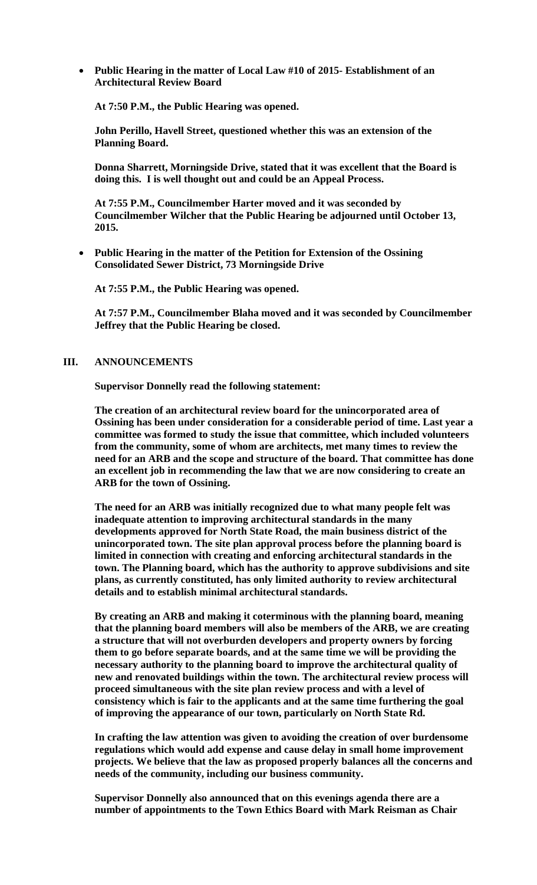**Public Hearing in the matter of Local Law #10 of 2015- Establishment of an Architectural Review Board**

**At 7:50 P.M., the Public Hearing was opened.** 

**John Perillo, Havell Street, questioned whether this was an extension of the Planning Board.** 

**Donna Sharrett, Morningside Drive, stated that it was excellent that the Board is doing this. I is well thought out and could be an Appeal Process.** 

**At 7:55 P.M., Councilmember Harter moved and it was seconded by Councilmember Wilcher that the Public Hearing be adjourned until October 13, 2015.**

 **Public Hearing in the matter of the Petition for Extension of the Ossining Consolidated Sewer District, 73 Morningside Drive**

**At 7:55 P.M., the Public Hearing was opened.** 

**At 7:57 P.M., Councilmember Blaha moved and it was seconded by Councilmember Jeffrey that the Public Hearing be closed.**

#### **III. ANNOUNCEMENTS**

**Supervisor Donnelly read the following statement:** 

**The creation of an architectural review board for the unincorporated area of Ossining has been under consideration for a considerable period of time. Last year a committee was formed to study the issue that committee, which included volunteers from the community, some of whom are architects, met many times to review the need for an ARB and the scope and structure of the board. That committee has done an excellent job in recommending the law that we are now considering to create an ARB for the town of Ossining.**

**The need for an ARB was initially recognized due to what many people felt was inadequate attention to improving architectural standards in the many developments approved for North State Road, the main business district of the unincorporated town. The site plan approval process before the planning board is limited in connection with creating and enforcing architectural standards in the town. The Planning board, which has the authority to approve subdivisions and site plans, as currently constituted, has only limited authority to review architectural details and to establish minimal architectural standards.** 

**By creating an ARB and making it coterminous with the planning board, meaning that the planning board members will also be members of the ARB, we are creating a structure that will not overburden developers and property owners by forcing them to go before separate boards, and at the same time we will be providing the necessary authority to the planning board to improve the architectural quality of new and renovated buildings within the town. The architectural review process will proceed simultaneous with the site plan review process and with a level of consistency which is fair to the applicants and at the same time furthering the goal of improving the appearance of our town, particularly on North State Rd.** 

**In crafting the law attention was given to avoiding the creation of over burdensome regulations which would add expense and cause delay in small home improvement projects. We believe that the law as proposed properly balances all the concerns and needs of the community, including our business community.** 

**Supervisor Donnelly also announced that on this evenings agenda there are a number of appointments to the Town Ethics Board with Mark Reisman as Chair**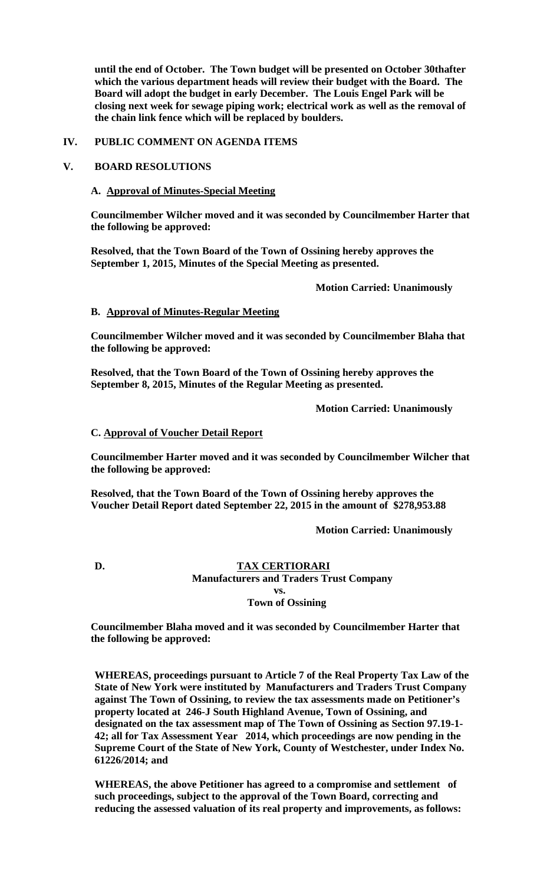**until the end of October. The Town budget will be presented on October 30thafter which the various department heads will review their budget with the Board. The Board will adopt the budget in early December. The Louis Engel Park will be closing next week for sewage piping work; electrical work as well as the removal of the chain link fence which will be replaced by boulders.** 

#### **IV. PUBLIC COMMENT ON AGENDA ITEMS**

## **V. BOARD RESOLUTIONS**

## **A. Approval of Minutes-Special Meeting**

**Councilmember Wilcher moved and it was seconded by Councilmember Harter that the following be approved:** 

**Resolved, that the Town Board of the Town of Ossining hereby approves the September 1, 2015, Minutes of the Special Meeting as presented.** 

 **Motion Carried: Unanimously** 

## **B. Approval of Minutes-Regular Meeting**

**Councilmember Wilcher moved and it was seconded by Councilmember Blaha that the following be approved:** 

**Resolved, that the Town Board of the Town of Ossining hereby approves the September 8, 2015, Minutes of the Regular Meeting as presented.** 

 **Motion Carried: Unanimously** 

#### **C. Approval of Voucher Detail Report**

**Councilmember Harter moved and it was seconded by Councilmember Wilcher that the following be approved:** 

**Resolved, that the Town Board of the Town of Ossining hereby approves the Voucher Detail Report dated September 22, 2015 in the amount of \$278,953.88** 

 **Motion Carried: Unanimously** 

# **D. TAX CERTIORARI**

 **Manufacturers and Traders Trust Company vs.** 

# **Town of Ossining**

**Councilmember Blaha moved and it was seconded by Councilmember Harter that the following be approved:** 

**WHEREAS, proceedings pursuant to Article 7 of the Real Property Tax Law of the State of New York were instituted by Manufacturers and Traders Trust Company against The Town of Ossining, to review the tax assessments made on Petitioner's property located at 246-J South Highland Avenue, Town of Ossining, and designated on the tax assessment map of The Town of Ossining as Section 97.19-1- 42; all for Tax Assessment Year 2014, which proceedings are now pending in the Supreme Court of the State of New York, County of Westchester, under Index No. 61226/2014; and** 

**WHEREAS, the above Petitioner has agreed to a compromise and settlement of such proceedings, subject to the approval of the Town Board, correcting and reducing the assessed valuation of its real property and improvements, as follows:**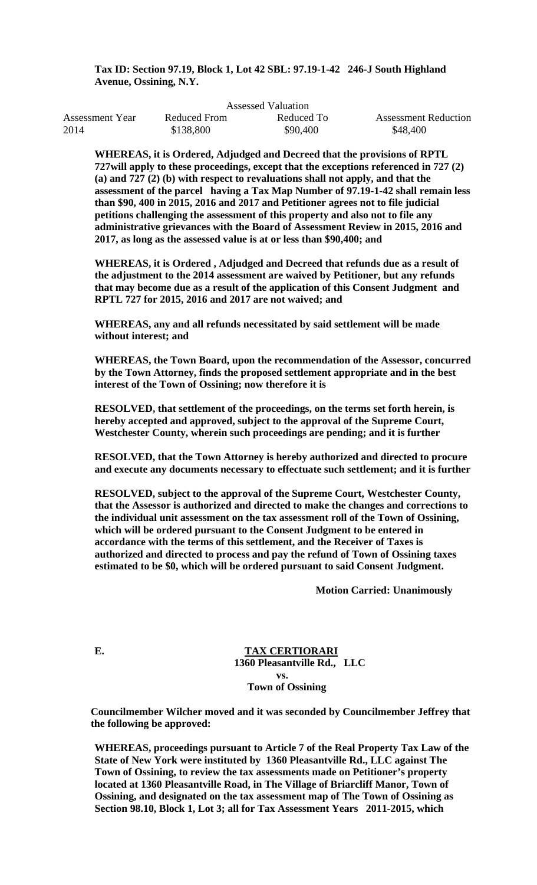# **Tax ID: Section 97.19, Block 1, Lot 42 SBL: 97.19-1-42 246-J South Highland Avenue, Ossining, N.Y.**

| Assessed Valuation |              |            |                             |  |  |
|--------------------|--------------|------------|-----------------------------|--|--|
| Assessment Year    | Reduced From | Reduced To | <b>Assessment Reduction</b> |  |  |
| 2014               | \$138,800    | \$90,400   | \$48,400                    |  |  |

**WHEREAS, it is Ordered, Adjudged and Decreed that the provisions of RPTL 727will apply to these proceedings, except that the exceptions referenced in 727 (2) (a) and 727 (2) (b) with respect to revaluations shall not apply, and that the assessment of the parcel having a Tax Map Number of 97.19-1-42 shall remain less than \$90, 400 in 2015, 2016 and 2017 and Petitioner agrees not to file judicial petitions challenging the assessment of this property and also not to file any administrative grievances with the Board of Assessment Review in 2015, 2016 and 2017, as long as the assessed value is at or less than \$90,400; and** 

**WHEREAS, it is Ordered , Adjudged and Decreed that refunds due as a result of the adjustment to the 2014 assessment are waived by Petitioner, but any refunds that may become due as a result of the application of this Consent Judgment and RPTL 727 for 2015, 2016 and 2017 are not waived; and** 

**WHEREAS, any and all refunds necessitated by said settlement will be made without interest; and** 

**WHEREAS, the Town Board, upon the recommendation of the Assessor, concurred by the Town Attorney, finds the proposed settlement appropriate and in the best interest of the Town of Ossining; now therefore it is** 

**RESOLVED, that settlement of the proceedings, on the terms set forth herein, is hereby accepted and approved, subject to the approval of the Supreme Court, Westchester County, wherein such proceedings are pending; and it is further** 

**RESOLVED, that the Town Attorney is hereby authorized and directed to procure and execute any documents necessary to effectuate such settlement; and it is further** 

**RESOLVED, subject to the approval of the Supreme Court, Westchester County, that the Assessor is authorized and directed to make the changes and corrections to the individual unit assessment on the tax assessment roll of the Town of Ossining, which will be ordered pursuant to the Consent Judgment to be entered in accordance with the terms of this settlement, and the Receiver of Taxes is authorized and directed to process and pay the refund of Town of Ossining taxes estimated to be \$0, which will be ordered pursuant to said Consent Judgment.** 

 **Motion Carried: Unanimously** 

**E. TAX CERTIORARI 1360 Pleasantville Rd., LLC vs. Town of Ossining** 

**Councilmember Wilcher moved and it was seconded by Councilmember Jeffrey that the following be approved:** 

**WHEREAS, proceedings pursuant to Article 7 of the Real Property Tax Law of the State of New York were instituted by 1360 Pleasantville Rd., LLC against The Town of Ossining, to review the tax assessments made on Petitioner's property located at 1360 Pleasantville Road, in The Village of Briarcliff Manor, Town of Ossining, and designated on the tax assessment map of The Town of Ossining as Section 98.10, Block 1, Lot 3; all for Tax Assessment Years 2011-2015, which**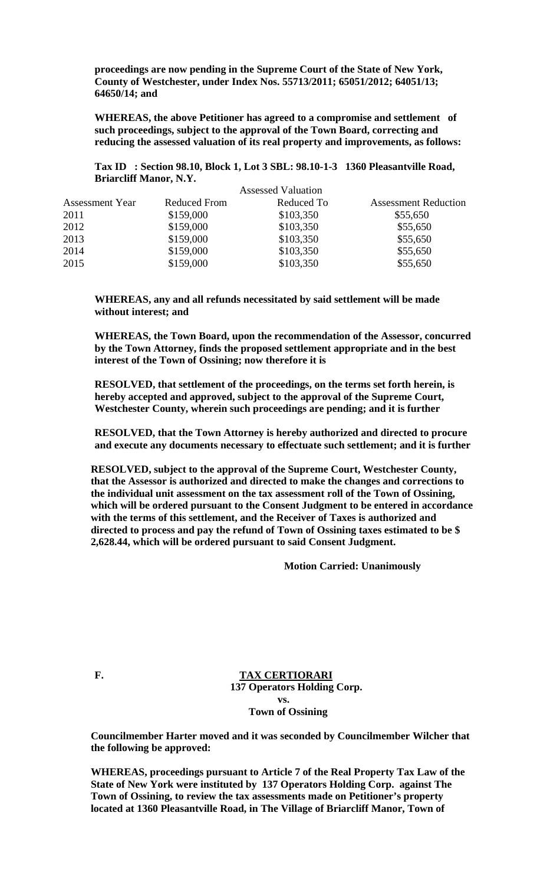**proceedings are now pending in the Supreme Court of the State of New York, County of Westchester, under Index Nos. 55713/2011; 65051/2012; 64051/13; 64650/14; and** 

**WHEREAS, the above Petitioner has agreed to a compromise and settlement of such proceedings, subject to the approval of the Town Board, correcting and reducing the assessed valuation of its real property and improvements, as follows:** 

**Tax ID : Section 98.10, Block 1, Lot 3 SBL: 98.10-1-3 1360 Pleasantville Road, Briarcliff Manor, N.Y.** 

|                        | <b>Assessed Valuation</b> |            |                             |  |
|------------------------|---------------------------|------------|-----------------------------|--|
| <b>Assessment Year</b> | <b>Reduced From</b>       | Reduced To | <b>Assessment Reduction</b> |  |
| 2011                   | \$159,000                 | \$103,350  | \$55,650                    |  |
| 2012                   | \$159,000                 | \$103,350  | \$55,650                    |  |
| 2013                   | \$159,000                 | \$103,350  | \$55,650                    |  |
| 2014                   | \$159,000                 | \$103,350  | \$55,650                    |  |
| 2015                   | \$159,000                 | \$103,350  | \$55,650                    |  |

**WHEREAS, any and all refunds necessitated by said settlement will be made without interest; and** 

**WHEREAS, the Town Board, upon the recommendation of the Assessor, concurred by the Town Attorney, finds the proposed settlement appropriate and in the best interest of the Town of Ossining; now therefore it is** 

**RESOLVED, that settlement of the proceedings, on the terms set forth herein, is hereby accepted and approved, subject to the approval of the Supreme Court, Westchester County, wherein such proceedings are pending; and it is further** 

**RESOLVED, that the Town Attorney is hereby authorized and directed to procure and execute any documents necessary to effectuate such settlement; and it is further** 

**RESOLVED, subject to the approval of the Supreme Court, Westchester County, that the Assessor is authorized and directed to make the changes and corrections to the individual unit assessment on the tax assessment roll of the Town of Ossining, which will be ordered pursuant to the Consent Judgment to be entered in accordance with the terms of this settlement, and the Receiver of Taxes is authorized and directed to process and pay the refund of Town of Ossining taxes estimated to be \$ 2,628.44, which will be ordered pursuant to said Consent Judgment.** 

 **Motion Carried: Unanimously** 

**F. TAX CERTIORARI 137 Operators Holding Corp. vs. Town of Ossining** 

**Councilmember Harter moved and it was seconded by Councilmember Wilcher that the following be approved:** 

**WHEREAS, proceedings pursuant to Article 7 of the Real Property Tax Law of the State of New York were instituted by 137 Operators Holding Corp. against The Town of Ossining, to review the tax assessments made on Petitioner's property located at 1360 Pleasantville Road, in The Village of Briarcliff Manor, Town of**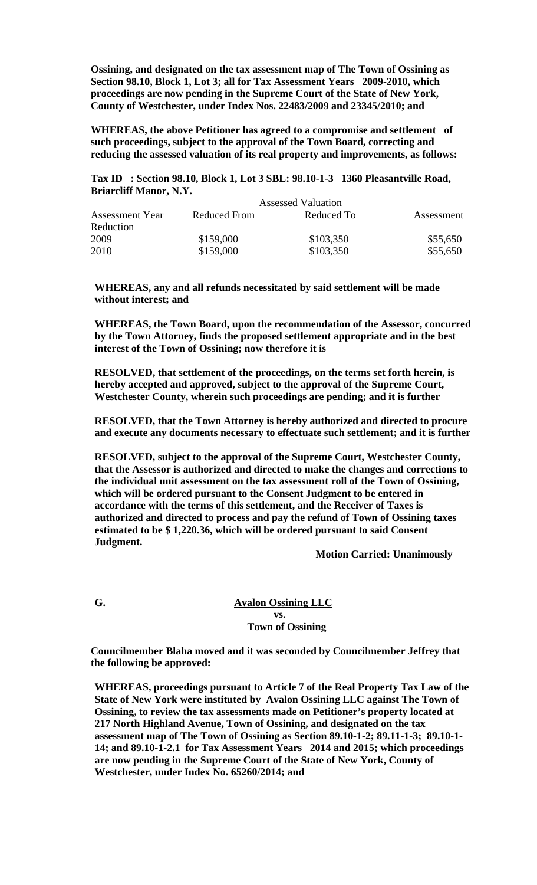**Ossining, and designated on the tax assessment map of The Town of Ossining as Section 98.10, Block 1, Lot 3; all for Tax Assessment Years 2009-2010, which proceedings are now pending in the Supreme Court of the State of New York, County of Westchester, under Index Nos. 22483/2009 and 23345/2010; and** 

**WHEREAS, the above Petitioner has agreed to a compromise and settlement of such proceedings, subject to the approval of the Town Board, correcting and reducing the assessed valuation of its real property and improvements, as follows:** 

**Tax ID : Section 98.10, Block 1, Lot 3 SBL: 98.10-1-3 1360 Pleasantville Road, Briarcliff Manor, N.Y.** 

|                        | <b>Assessed Valuation</b> |            |            |
|------------------------|---------------------------|------------|------------|
| <b>Assessment Year</b> | Reduced From              | Reduced To | Assessment |
| Reduction              |                           |            |            |
| 2009                   | \$159,000                 | \$103,350  | \$55,650   |
| 2010                   | \$159,000                 | \$103,350  | \$55,650   |

**WHEREAS, any and all refunds necessitated by said settlement will be made without interest; and** 

**WHEREAS, the Town Board, upon the recommendation of the Assessor, concurred by the Town Attorney, finds the proposed settlement appropriate and in the best interest of the Town of Ossining; now therefore it is** 

**RESOLVED, that settlement of the proceedings, on the terms set forth herein, is hereby accepted and approved, subject to the approval of the Supreme Court, Westchester County, wherein such proceedings are pending; and it is further** 

**RESOLVED, that the Town Attorney is hereby authorized and directed to procure and execute any documents necessary to effectuate such settlement; and it is further** 

**RESOLVED, subject to the approval of the Supreme Court, Westchester County, that the Assessor is authorized and directed to make the changes and corrections to the individual unit assessment on the tax assessment roll of the Town of Ossining, which will be ordered pursuant to the Consent Judgment to be entered in accordance with the terms of this settlement, and the Receiver of Taxes is authorized and directed to process and pay the refund of Town of Ossining taxes estimated to be \$ 1,220.36, which will be ordered pursuant to said Consent Judgment.** 

 **Motion Carried: Unanimously** 

**G. Avalon Ossining LLC vs. Town of Ossining** 

> **Councilmember Blaha moved and it was seconded by Councilmember Jeffrey that the following be approved:**

**WHEREAS, proceedings pursuant to Article 7 of the Real Property Tax Law of the State of New York were instituted by Avalon Ossining LLC against The Town of Ossining, to review the tax assessments made on Petitioner's property located at 217 North Highland Avenue, Town of Ossining, and designated on the tax assessment map of The Town of Ossining as Section 89.10-1-2; 89.11-1-3; 89.10-1- 14; and 89.10-1-2.1 for Tax Assessment Years 2014 and 2015; which proceedings are now pending in the Supreme Court of the State of New York, County of Westchester, under Index No. 65260/2014; and**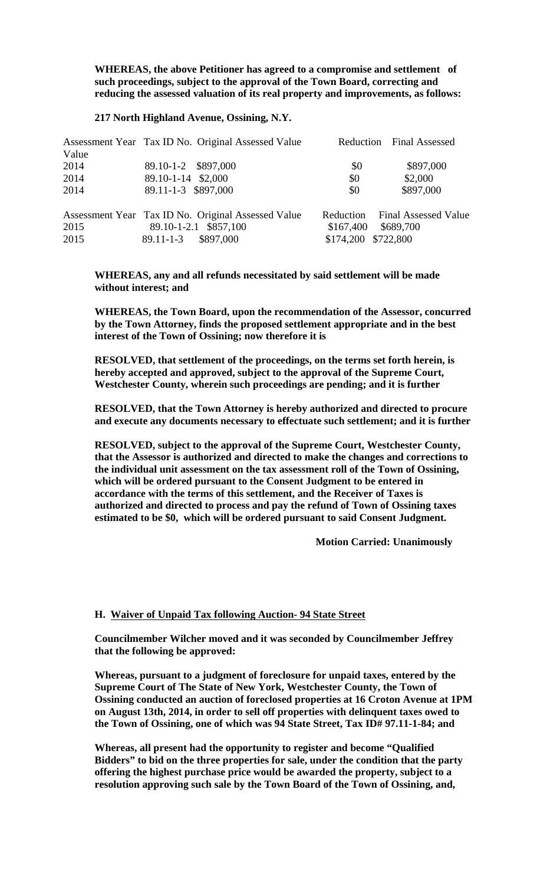**WHEREAS, the above Petitioner has agreed to a compromise and settlement of such proceedings, subject to the approval of the Town Board, correcting and reducing the assessed valuation of its real property and improvements, as follows:** 

#### **217 North Highland Avenue, Ossining, N.Y.**

|       | Assessment Year Tax ID No. Original Assessed Value |                     | Reduction Final Assessed       |
|-------|----------------------------------------------------|---------------------|--------------------------------|
| Value |                                                    |                     |                                |
| 2014  | 89.10-1-2 \$897,000                                | \$0                 | \$897,000                      |
| 2014  | 89.10-1-14 \$2,000                                 | \$0                 | \$2,000                        |
| 2014  | 89.11-1-3 \$897,000                                | \$0                 | \$897,000                      |
|       | Assessment Year Tax ID No. Original Assessed Value |                     | Reduction Final Assessed Value |
| 2015  | 89.10-1-2.1 \$857,100                              | \$167,400           | \$689,700                      |
| 2015  | 89.11-1-3 \$897,000                                | \$174,200 \$722,800 |                                |

**WHEREAS, any and all refunds necessitated by said settlement will be made without interest; and** 

**WHEREAS, the Town Board, upon the recommendation of the Assessor, concurred by the Town Attorney, finds the proposed settlement appropriate and in the best interest of the Town of Ossining; now therefore it is** 

**RESOLVED, that settlement of the proceedings, on the terms set forth herein, is hereby accepted and approved, subject to the approval of the Supreme Court, Westchester County, wherein such proceedings are pending; and it is further** 

**RESOLVED, that the Town Attorney is hereby authorized and directed to procure and execute any documents necessary to effectuate such settlement; and it is further** 

**RESOLVED, subject to the approval of the Supreme Court, Westchester County, that the Assessor is authorized and directed to make the changes and corrections to the individual unit assessment on the tax assessment roll of the Town of Ossining, which will be ordered pursuant to the Consent Judgment to be entered in accordance with the terms of this settlement, and the Receiver of Taxes is authorized and directed to process and pay the refund of Town of Ossining taxes estimated to be \$0, which will be ordered pursuant to said Consent Judgment.** 

 **Motion Carried: Unanimously** 

#### **H. Waiver of Unpaid Tax following Auction- 94 State Street**

**Councilmember Wilcher moved and it was seconded by Councilmember Jeffrey that the following be approved:** 

**Whereas, pursuant to a judgment of foreclosure for unpaid taxes, entered by the Supreme Court of The State of New York, Westchester County, the Town of Ossining conducted an auction of foreclosed properties at 16 Croton Avenue at 1PM on August 13th, 2014, in order to sell off properties with delinquent taxes owed to the Town of Ossining, one of which was 94 State Street, Tax ID# 97.11-1-84; and** 

**Whereas, all present had the opportunity to register and become "Qualified Bidders" to bid on the three properties for sale, under the condition that the party offering the highest purchase price would be awarded the property, subject to a resolution approving such sale by the Town Board of the Town of Ossining, and,**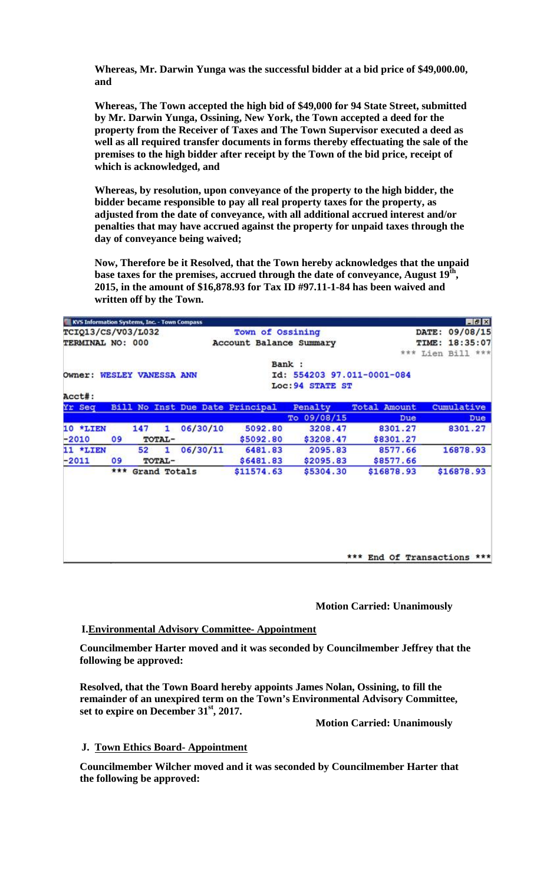**Whereas, Mr. Darwin Yunga was the successful bidder at a bid price of \$49,000.00, and** 

**Whereas, The Town accepted the high bid of \$49,000 for 94 State Street, submitted by Mr. Darwin Yunga, Ossining, New York, the Town accepted a deed for the property from the Receiver of Taxes and The Town Supervisor executed a deed as well as all required transfer documents in forms thereby effectuating the sale of the premises to the high bidder after receipt by the Town of the bid price, receipt of which is acknowledged, and** 

**Whereas, by resolution, upon conveyance of the property to the high bidder, the bidder became responsible to pay all real property taxes for the property, as adjusted from the date of conveyance, with all additional accrued interest and/or penalties that may have accrued against the property for unpaid taxes through the day of conveyance being waived;** 

**Now, Therefore be it Resolved, that the Town hereby acknowledges that the unpaid base taxes for the premises, accrued through the date of conveyance, August 19th, 2015, in the amount of \$16,878.93 for Tax ID #97.11-1-84 has been waived and written off by the Town.** 

|                           |          |     | KVS Information Systems, Inc. - Town Compass |          |                                 |                   |                            | $F = 1$                     |
|---------------------------|----------|-----|----------------------------------------------|----------|---------------------------------|-------------------|----------------------------|-----------------------------|
| <b>TCIQ13/CS/V03/L032</b> |          |     | Town of Ossining                             |          |                                 | DATE: 09/08/15    |                            |                             |
| TERMINAL NO: 000          |          |     | Account Balance Summary                      |          |                                 | 18:35:07<br>TIME: |                            |                             |
|                           |          |     |                                              |          |                                 |                   |                            | *** Lien Bill ***           |
|                           |          |     |                                              |          |                                 | Bank:             |                            |                             |
|                           |          |     | Owner: WESLEY VANESSA ANN                    |          |                                 |                   | Id: 554203 97.011-0001-084 |                             |
|                           |          |     |                                              |          |                                 | Loc: 94 STATE ST  |                            |                             |
|                           | Acct#:   |     |                                              |          |                                 |                   |                            |                             |
|                           | Yr Seq   |     |                                              |          | Bill No Inst Due Date Principal | Penalty           | Total<br>Amount            | Cumulative                  |
|                           |          |     |                                              |          |                                 | To 09/08/15       | Due                        | Due                         |
|                           | 10 *LIEN |     | 147<br>1                                     | 06/30/10 | 5092.80                         | 3208.47           | 8301.27                    | 8301.27                     |
|                           | $-2010$  | 09  | TOTAL-                                       |          | \$5092.80                       | \$3208.47         | \$8301.27                  |                             |
|                           | 11 *LIEN |     | 52<br>1                                      | 06/30/11 | 6481.83                         | 2095.83           | 8577.66                    | 16878.93                    |
| $-2011$                   |          | 09  | TOTAL-                                       |          | \$6481.83                       | \$2095.83         | \$8577.66                  |                             |
|                           |          | *** | Grand Totals                                 |          | \$11574.63                      | \$5304.30         | \$16878.93                 | \$16878.93                  |
|                           |          |     |                                              |          |                                 |                   |                            |                             |
|                           |          |     |                                              |          |                                 |                   |                            |                             |
|                           |          |     |                                              |          |                                 |                   |                            |                             |
|                           |          |     |                                              |          |                                 |                   |                            |                             |
|                           |          |     |                                              |          |                                 |                   |                            |                             |
|                           |          |     |                                              |          |                                 |                   |                            |                             |
|                           |          |     |                                              |          |                                 |                   |                            |                             |
|                           |          |     |                                              |          |                                 |                   |                            | *** End Of Transactions *** |

## **Motion Carried: Unanimously**

# **I.Environmental Advisory Committee- Appointment**

**Councilmember Harter moved and it was seconded by Councilmember Jeffrey that the following be approved:** 

**Resolved, that the Town Board hereby appoints James Nolan, Ossining, to fill the remainder of an unexpired term on the Town's Environmental Advisory Committee, set to expire on December 31st, 2017.** 

 **Motion Carried: Unanimously** 

# **J. Town Ethics Board- Appointment**

**Councilmember Wilcher moved and it was seconded by Councilmember Harter that the following be approved:**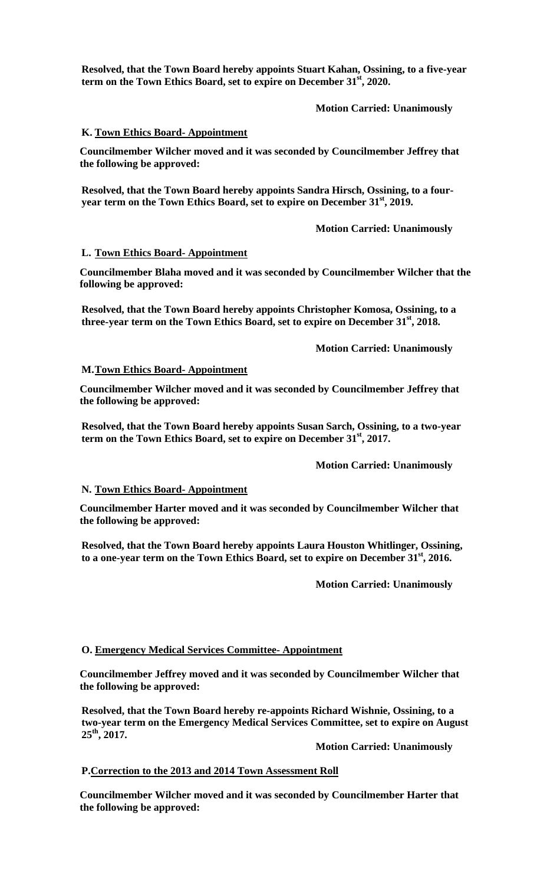**Resolved, that the Town Board hereby appoints Stuart Kahan, Ossining, to a five-year term on the Town Ethics Board, set to expire on December 31st, 2020.** 

 **Motion Carried: Unanimously** 

# **K. Town Ethics Board- Appointment**

**Councilmember Wilcher moved and it was seconded by Councilmember Jeffrey that the following be approved:** 

**Resolved, that the Town Board hereby appoints Sandra Hirsch, Ossining, to a four**year term on the Town Ethics Board, set to expire on December 31<sup>st</sup>, 2019.

 **Motion Carried: Unanimously** 

# **L. Town Ethics Board- Appointment**

**Councilmember Blaha moved and it was seconded by Councilmember Wilcher that the following be approved:** 

**Resolved, that the Town Board hereby appoints Christopher Komosa, Ossining, to a**  three-year term on the Town Ethics Board, set to expire on December 31<sup>st</sup>, 2018.

 **Motion Carried: Unanimously** 

# **M.Town Ethics Board- Appointment**

**Councilmember Wilcher moved and it was seconded by Councilmember Jeffrey that the following be approved:** 

**Resolved, that the Town Board hereby appoints Susan Sarch, Ossining, to a two-year term on the Town Ethics Board, set to expire on December 31st, 2017.** 

 **Motion Carried: Unanimously** 

# **N. Town Ethics Board- Appointment**

**Councilmember Harter moved and it was seconded by Councilmember Wilcher that the following be approved:** 

**Resolved, that the Town Board hereby appoints Laura Houston Whitlinger, Ossining,**  to a one-year term on the Town Ethics Board, set to expire on December 31<sup>st</sup>, 2016.

 **Motion Carried: Unanimously** 

# **O. Emergency Medical Services Committee- Appointment**

**Councilmember Jeffrey moved and it was seconded by Councilmember Wilcher that the following be approved:** 

**Resolved, that the Town Board hereby re-appoints Richard Wishnie, Ossining, to a two-year term on the Emergency Medical Services Committee, set to expire on August 25th, 2017.** 

 **Motion Carried: Unanimously** 

# **P.Correction to the 2013 and 2014 Town Assessment Roll**

**Councilmember Wilcher moved and it was seconded by Councilmember Harter that the following be approved:**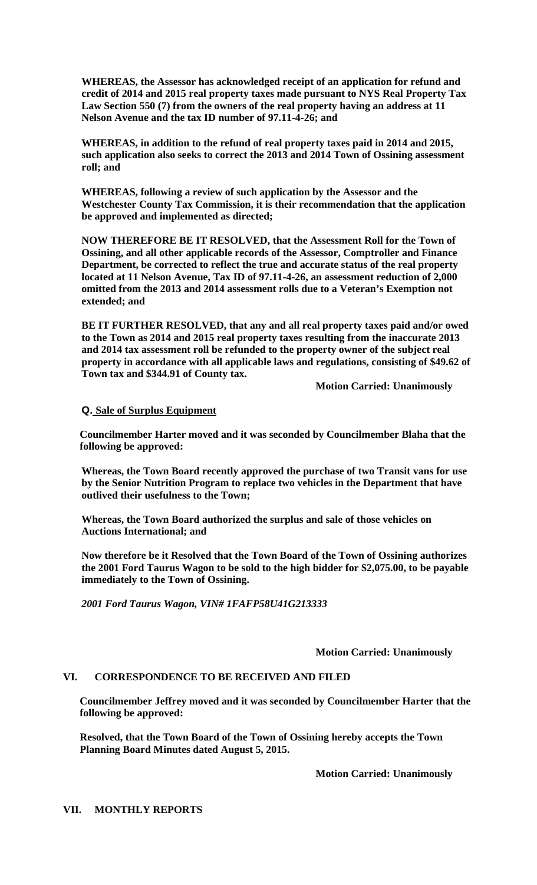**WHEREAS, the Assessor has acknowledged receipt of an application for refund and credit of 2014 and 2015 real property taxes made pursuant to NYS Real Property Tax Law Section 550 (7) from the owners of the real property having an address at 11 Nelson Avenue and the tax ID number of 97.11-4-26; and** 

**WHEREAS, in addition to the refund of real property taxes paid in 2014 and 2015, such application also seeks to correct the 2013 and 2014 Town of Ossining assessment roll; and** 

**WHEREAS, following a review of such application by the Assessor and the Westchester County Tax Commission, it is their recommendation that the application be approved and implemented as directed;** 

**NOW THEREFORE BE IT RESOLVED, that the Assessment Roll for the Town of Ossining, and all other applicable records of the Assessor, Comptroller and Finance Department, be corrected to reflect the true and accurate status of the real property located at 11 Nelson Avenue, Tax ID of 97.11-4-26, an assessment reduction of 2,000 omitted from the 2013 and 2014 assessment rolls due to a Veteran's Exemption not extended; and** 

**BE IT FURTHER RESOLVED, that any and all real property taxes paid and/or owed to the Town as 2014 and 2015 real property taxes resulting from the inaccurate 2013 and 2014 tax assessment roll be refunded to the property owner of the subject real property in accordance with all applicable laws and regulations, consisting of \$49.62 of Town tax and \$344.91 of County tax.** 

 **Motion Carried: Unanimously** 

# **Q. Sale of Surplus Equipment**

**Councilmember Harter moved and it was seconded by Councilmember Blaha that the following be approved:** 

**Whereas, the Town Board recently approved the purchase of two Transit vans for use by the Senior Nutrition Program to replace two vehicles in the Department that have outlived their usefulness to the Town;** 

**Whereas, the Town Board authorized the surplus and sale of those vehicles on Auctions International; and** 

**Now therefore be it Resolved that the Town Board of the Town of Ossining authorizes the 2001 Ford Taurus Wagon to be sold to the high bidder for \$2,075.00, to be payable immediately to the Town of Ossining.** 

*2001 Ford Taurus Wagon, VIN# 1FAFP58U41G213333*

 **Motion Carried: Unanimously** 

# **VI. CORRESPONDENCE TO BE RECEIVED AND FILED**

**Councilmember Jeffrey moved and it was seconded by Councilmember Harter that the following be approved:** 

**Resolved, that the Town Board of the Town of Ossining hereby accepts the Town Planning Board Minutes dated August 5, 2015.** 

 **Motion Carried: Unanimously**